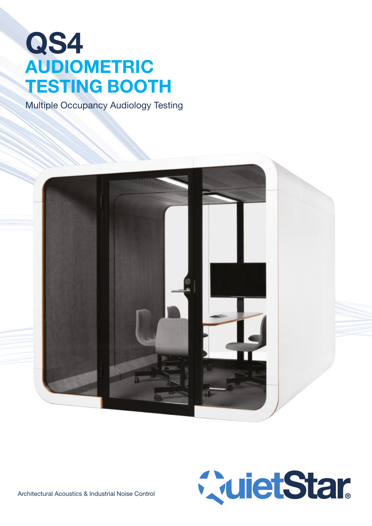# QS4 AUDIOMETRIC TESTING BOOTH

Multiple Occupancy Audiology Testing